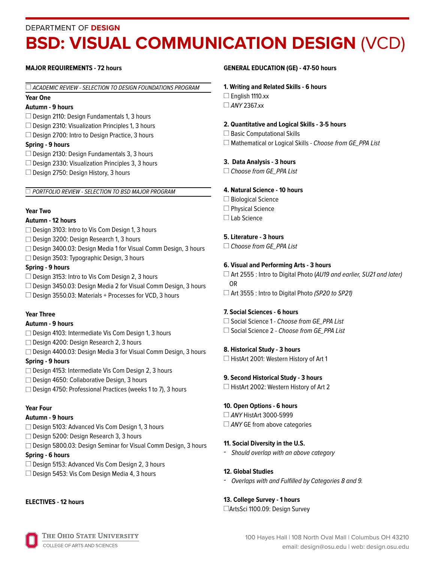#### DEPARTMENT OF **DESIGN**

# **BSD: VISUAL COMMUNICATION DESIGN (VCD)**

#### **MAJOR REQUIREMENTS - 72 hours**

#### $\Box$  ACADEMIC REVIEW - SELECTION TO DESIGN FOUNDATIONS PROGRAM

#### **Year One**

#### **Autumn - 9 hours**

 $\Box$  Design 2110: Design Fundamentals 1, 3 hours

 $\Box$  Design 2310: Visualization Principles 1, 3 hours

 $\Box$  Design 2700: Intro to Design Practice, 3 hours

#### **Spring - 9 hours**

- $\Box$  Design 2130: Design Fundamentals 3, 3 hours
- $\Box$  Design 2330: Visualization Principles 3, 3 hours
- $\Box$  Design 2750: Design History, 3 hours

#### **PORTFOLIO REVIEW - SELECTION TO BSD MAJOR PROGRAM**

#### **Year Two**

#### **Autumn - 12 hours**

- □ Design 3103: Intro to Vis Com Design 1, 3 hours
- □ Design 3200: Design Research 1, 3 hours
- □ Design 3400.03: Design Media 1 for Visual Comm Design, 3 hours
- □ Design 3503: Typographic Design, 3 hours

#### **Spring - 9 hours**

 $\square$  Design 3153: Intro to Vis Com Design 2, 3 hours □ Design 3450.03: Design Media 2 for Visual Comm Design, 3 hours  $\Box$  Design 3550.03: Materials + Processes for VCD, 3 hours

#### **Year Three**

#### **Autumn - 9 hours**

- □ Design 4103: Intermediate Vis Com Design 1, 3 hours
- □ Design 4200: Design Research 2, 3 hours
- □ Design 4400.03: Design Media 3 for Visual Comm Design, 3 hours **Spring - 9 hours**

### □ Design 4153: Intermediate Vis Com Design 2, 3 hours

- □ Design 4650: Collaborative Design, 3 hours
- □ Design 4750: Professional Practices (weeks 1 to 7), 3 hours

#### **Year Four**

#### **Autumn - 9 hours**

- □ Design 5103: Advanced Vis Com Design 1, 3 hours
- Design 5200: Design Research 3, 3 hours
- □ Design 5800.03: Design Seminar for Visual Comm Design, 3 hours

#### **Spring - 6 hours**

- □ Design 5153: Advanced Vis Com Design 2, 3 hours
- $\Box$  Design 5453: Vis Com Design Media 4, 3 hours

#### **ELECTIVES - 12 hours**

#### **GENERAL EDUCATION (GE) - 47-50 hours**

#### **1. Writing and Related Skills - 6 hours**

- $\Box$  English 1110.xx
- $\Box$  ANY 2367.xx

#### **2. Quantitative and Logical Skills - 3-5 hours**

- □ Basic Computational Skills
- $\Box$  Mathematical or Logical Skills Choose from GE\_PPA List

#### **3. Data Analysis - 3 hours**

□ Choose from GE\_PPA List

#### **4. Natural Science - 10 hours**

- □ Biological Science
- $\Box$  Physical Science
- □ Lab Science

#### **5. Literature - 3 hours**

 $\Box$  Choose from GE\_PPA List

#### **6. Visual and Performing Arts - 3 hours**

 $\Box$  Art 2555 : Intro to Digital Photo (AU19 and earlier, SU21 and later) OR  $\Box$  Art 3555 : Intro to Digital Photo (SP20 to SP21)

#### **7. Social Sciences - 6 hours**

□ Social Science 1 - Choose from GE\_PPA List  $\Box$  Social Science 2 - Choose from GE\_PPA List

#### **8. Historical Study - 3 hours**

□ HistArt 2001: Western History of Art 1

#### **9. Second Historical Study - 3 hours**

□ HistArt 2002: Western History of Art 2

#### **10. Open Options - 6 hours**

□ ANY HistArt 3000-5999  $\Box$  ANY GE from above categories

#### **11. Social Diversity in the U.S.**

- Should overlap with an above category

#### **12. Global Studies**

- Overlaps with and Fulfilled by Categories 8 and 9.

#### **13. College Survey - 1 hours**

ArtsSci 1100.09: Design Survey